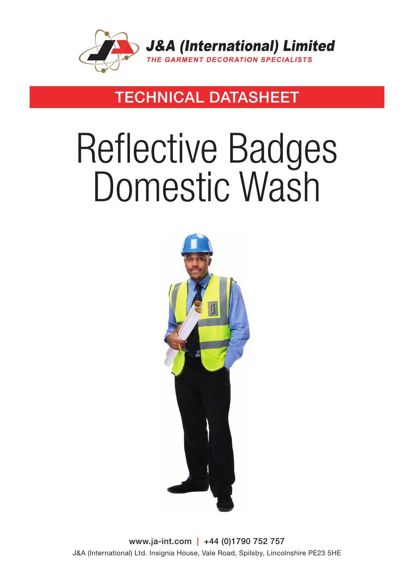

### TECHNICAL DATASHEET

# Reflective Badges Domestic Wash



www.ja-int.com | +44 (0)1790 752 757 J&A (International) Ltd. Insignia House, Vale Road, Spilsby, Lincolnshire PE23 5HE